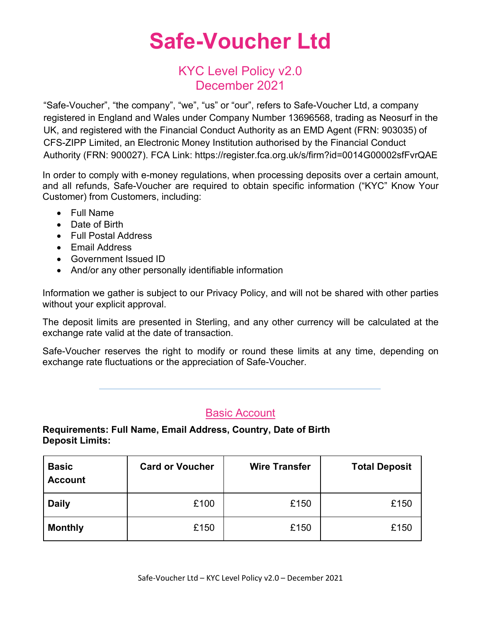# **Safe-Voucher Ltd**

### KYC Level Policy v2.0 December 2021

"Safe-Voucher", "the company", "we", "us" or "our", refers to Safe-Voucher Ltd, a company registered in England and Wales under Company Number 13696568, trading as Neosurf in the UK, and registered with the Financial Conduct Authority as an EMD Agent (FRN: 903035) of CFS-ZIPP Limited, an Electronic Money Institution authorised by the Financial Conduct Authority (FRN: 900027). FCA Link: https://register.fca.org.uk/s/firm?id=0014G00002sfFvrQAE

In order to comply with e-money regulations, when processing deposits over a certain amount, and all refunds, Safe-Voucher are required to obtain specific information ("KYC" Know Your Customer) from Customers, including:

- Full Name
- Date of Birth
- Full Postal Address
- Email Address
- Government Issued ID
- And/or any other personally identifiable information

Information we gather is subject to our Privacy Policy, and will not be shared with other parties without your explicit approval.

The deposit limits are presented in Sterling, and any other currency will be calculated at the exchange rate valid at the date of transaction.

Safe-Voucher reserves the right to modify or round these limits at any time, depending on exchange rate fluctuations or the appreciation of Safe-Voucher.

#### Basic Account

#### **Requirements: Full Name, Email Address, Country, Date of Birth Deposit Limits:**

| <b>Basic</b><br><b>Account</b> | <b>Card or Voucher</b> | <b>Wire Transfer</b> | <b>Total Deposit</b> |
|--------------------------------|------------------------|----------------------|----------------------|
| <b>Daily</b>                   | £100                   | £150                 | £150                 |
| <b>Monthly</b>                 | £150                   | £150                 | £150                 |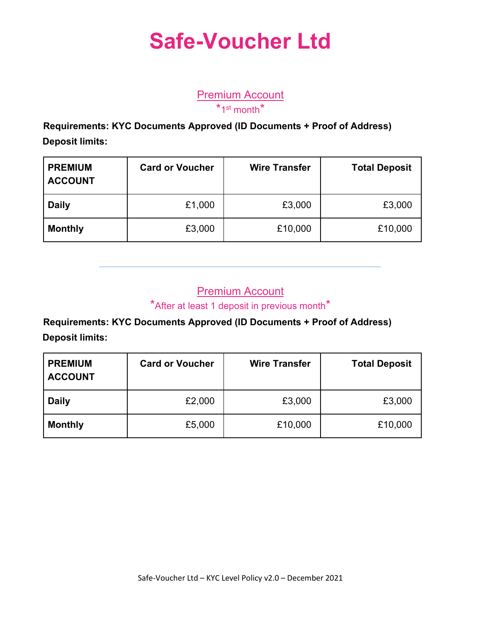# **Safe-Voucher Ltd**

Premium Account  $*$ 1st month $*$ 

 **Requirements: KYC Documents Approved (ID Documents + Proof of Address) Deposit limits:**

| <b>PREMIUM</b><br><b>ACCOUNT</b> | <b>Card or Voucher</b> | <b>Wire Transfer</b> | <b>Total Deposit</b> |
|----------------------------------|------------------------|----------------------|----------------------|
| <b>Daily</b>                     | £1,000                 | £3,000               | £3,000               |
| <b>Monthly</b>                   | £3,000                 | £10,000              | £10,000              |

### **Premium Account**

\*After at least 1 deposit in previous month\*

 **Requirements: KYC Documents Approved (ID Documents + Proof of Address) Deposit limits:**

| <b>PREMIUM</b><br><b>ACCOUNT</b> | <b>Card or Voucher</b> | <b>Wire Transfer</b> | <b>Total Deposit</b> |
|----------------------------------|------------------------|----------------------|----------------------|
| <b>Daily</b>                     | £2,000                 | £3,000               | £3,000               |
| <b>Monthly</b>                   | £5,000                 | £10,000              | £10,000              |